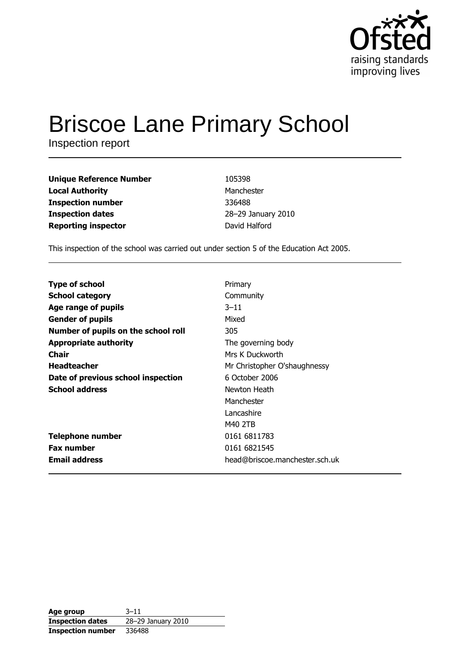

# **Briscoe Lane Primary School**

Inspection report

| 105398             |
|--------------------|
| Manchester         |
| 336488             |
| 28-29 January 2010 |
| David Halford      |
|                    |

This inspection of the school was carried out under section 5 of the Education Act 2005.

| <b>Type of school</b>               | Primary                        |
|-------------------------------------|--------------------------------|
| <b>School category</b>              | Community                      |
| Age range of pupils                 | $3 - 11$                       |
| <b>Gender of pupils</b>             | Mixed                          |
| Number of pupils on the school roll | 305                            |
| <b>Appropriate authority</b>        | The governing body             |
| Chair                               | Mrs K Duckworth                |
| <b>Headteacher</b>                  | Mr Christopher O'shaughnessy   |
| Date of previous school inspection  | 6 October 2006                 |
| <b>School address</b>               | Newton Heath                   |
|                                     | Manchester                     |
|                                     | Lancashire                     |
|                                     | M40 2TB                        |
| <b>Telephone number</b>             | 0161 6811783                   |
| <b>Fax number</b>                   | 0161 6821545                   |
| <b>Email address</b>                | head@briscoe.manchester.sch.uk |

| Age group                | $3 - 11$           |
|--------------------------|--------------------|
| <b>Inspection dates</b>  | 28-29 January 2010 |
| <b>Inspection number</b> | 336488             |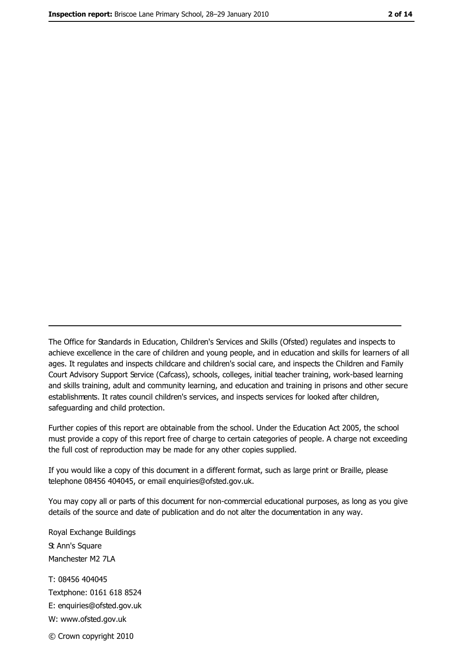The Office for Standards in Education, Children's Services and Skills (Ofsted) regulates and inspects to achieve excellence in the care of children and young people, and in education and skills for learners of all ages. It regulates and inspects childcare and children's social care, and inspects the Children and Family Court Advisory Support Service (Cafcass), schools, colleges, initial teacher training, work-based learning and skills training, adult and community learning, and education and training in prisons and other secure establishments. It rates council children's services, and inspects services for looked after children, safequarding and child protection.

Further copies of this report are obtainable from the school. Under the Education Act 2005, the school must provide a copy of this report free of charge to certain categories of people. A charge not exceeding the full cost of reproduction may be made for any other copies supplied.

If you would like a copy of this document in a different format, such as large print or Braille, please telephone 08456 404045, or email enquiries@ofsted.gov.uk.

You may copy all or parts of this document for non-commercial educational purposes, as long as you give details of the source and date of publication and do not alter the documentation in any way.

Royal Exchange Buildings **St Ann's Square** Manchester M2 7LA T: 08456 404045 Textphone: 0161 618 8524 E: enquiries@ofsted.gov.uk W: www.ofsted.gov.uk © Crown copyright 2010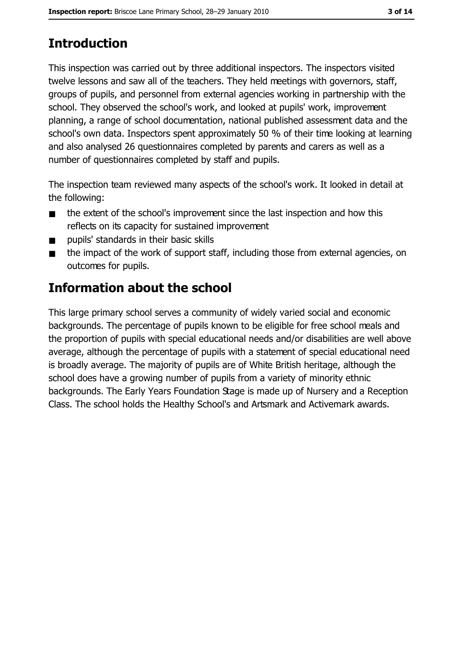# **Introduction**

This inspection was carried out by three additional inspectors. The inspectors visited twelve lessons and saw all of the teachers. They held meetings with governors, staff, groups of pupils, and personnel from external agencies working in partnership with the school. They observed the school's work, and looked at pupils' work, improvement planning, a range of school documentation, national published assessment data and the school's own data. Inspectors spent approximately 50 % of their time looking at learning and also analysed 26 questionnaires completed by parents and carers as well as a number of questionnaires completed by staff and pupils.

The inspection team reviewed many aspects of the school's work. It looked in detail at the following:

- the extent of the school's improvement since the last inspection and how this  $\blacksquare$ reflects on its capacity for sustained improvement
- pupils' standards in their basic skills  $\blacksquare$
- the impact of the work of support staff, including those from external agencies, on  $\blacksquare$ outcomes for pupils.

# **Information about the school**

This large primary school serves a community of widely varied social and economic backgrounds. The percentage of pupils known to be eligible for free school meals and the proportion of pupils with special educational needs and/or disabilities are well above average, although the percentage of pupils with a statement of special educational need is broadly average. The majority of pupils are of White British heritage, although the school does have a growing number of pupils from a variety of minority ethnic backgrounds. The Early Years Foundation Stage is made up of Nursery and a Reception Class. The school holds the Healthy School's and Artsmark and Activemark awards.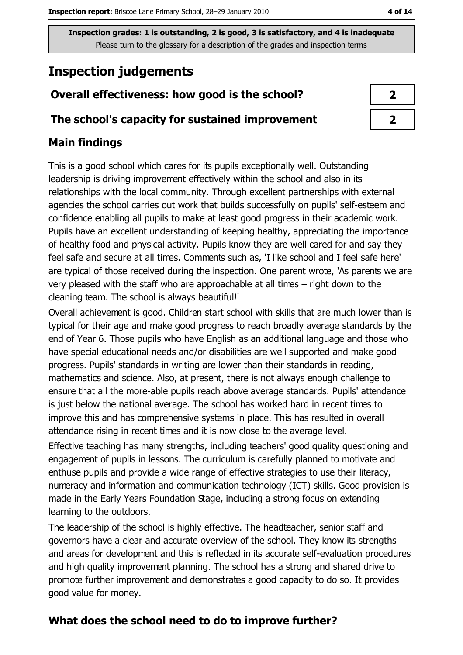# **Inspection judgements**

## Overall effectiveness: how good is the school?

#### The school's capacity for sustained improvement

## **Main findings**

This is a good school which cares for its pupils exceptionally well. Outstanding leadership is driving improvement effectively within the school and also in its relationships with the local community. Through excellent partnerships with external agencies the school carries out work that builds successfully on pupils' self-esteem and confidence enabling all pupils to make at least good progress in their academic work. Pupils have an excellent understanding of keeping healthy, appreciating the importance of healthy food and physical activity. Pupils know they are well cared for and say they feel safe and secure at all times. Comments such as, 'I like school and I feel safe here' are typical of those received during the inspection. One parent wrote, 'As parents we are very pleased with the staff who are approachable at all times – right down to the cleaning team. The school is always beautiful!'

Overall achievement is good. Children start school with skills that are much lower than is typical for their age and make good progress to reach broadly average standards by the end of Year 6. Those pupils who have English as an additional language and those who have special educational needs and/or disabilities are well supported and make good progress. Pupils' standards in writing are lower than their standards in reading, mathematics and science. Also, at present, there is not always enough challenge to ensure that all the more-able pupils reach above average standards. Pupils' attendance is just below the national average. The school has worked hard in recent times to improve this and has comprehensive systems in place. This has resulted in overall attendance rising in recent times and it is now close to the average level.

Effective teaching has many strengths, including teachers' good quality questioning and engagement of pupils in lessons. The curriculum is carefully planned to motivate and enthuse pupils and provide a wide range of effective strategies to use their literacy, numeracy and information and communication technology (ICT) skills. Good provision is made in the Early Years Foundation Stage, including a strong focus on extending learning to the outdoors.

The leadership of the school is highly effective. The headteacher, senior staff and governors have a clear and accurate overview of the school. They know its strengths and areas for development and this is reflected in its accurate self-evaluation procedures and high quality improvement planning. The school has a strong and shared drive to promote further improvement and demonstrates a good capacity to do so. It provides good value for money.

## What does the school need to do to improve further?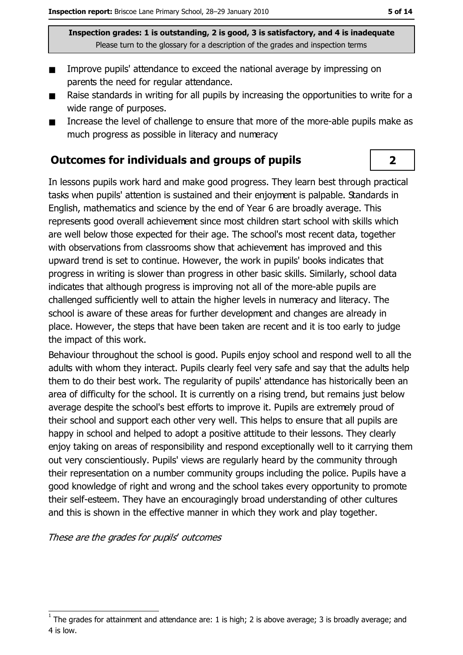- Improve pupils' attendance to exceed the national average by impressing on  $\blacksquare$ parents the need for regular attendance.
- Raise standards in writing for all pupils by increasing the opportunities to write for a  $\blacksquare$ wide range of purposes.
- Increase the level of challenge to ensure that more of the more-able pupils make as  $\blacksquare$ much progress as possible in literacy and numeracy

#### **Outcomes for individuals and groups of pupils**

In lessons pupils work hard and make good progress. They learn best through practical tasks when pupils' attention is sustained and their enjoyment is palpable. Standards in English, mathematics and science by the end of Year 6 are broadly average. This represents good overall achievement since most children start school with skills which are well below those expected for their age. The school's most recent data, together with observations from classrooms show that achievement has improved and this upward trend is set to continue. However, the work in pupils' books indicates that progress in writing is slower than progress in other basic skills. Similarly, school data indicates that although progress is improving not all of the more-able pupils are challenged sufficiently well to attain the higher levels in numeracy and literacy. The school is aware of these areas for further development and changes are already in place. However, the steps that have been taken are recent and it is too early to judge the impact of this work.

Behaviour throughout the school is good. Pupils enjoy school and respond well to all the adults with whom they interact. Pupils clearly feel very safe and say that the adults help them to do their best work. The regularity of pupils' attendance has historically been an area of difficulty for the school. It is currently on a rising trend, but remains just below average despite the school's best efforts to improve it. Pupils are extremely proud of their school and support each other very well. This helps to ensure that all pupils are happy in school and helped to adopt a positive attitude to their lessons. They clearly eniov taking on areas of responsibility and respond exceptionally well to it carrying them out very conscientiously. Pupils' views are regularly heard by the community through their representation on a number community groups including the police. Pupils have a good knowledge of right and wrong and the school takes every opportunity to promote their self-esteem. They have an encouragingly broad understanding of other cultures and this is shown in the effective manner in which they work and play together.

These are the grades for pupils' outcomes

 $\overline{2}$ 

The grades for attainment and attendance are: 1 is high; 2 is above average; 3 is broadly average; and 4 is low.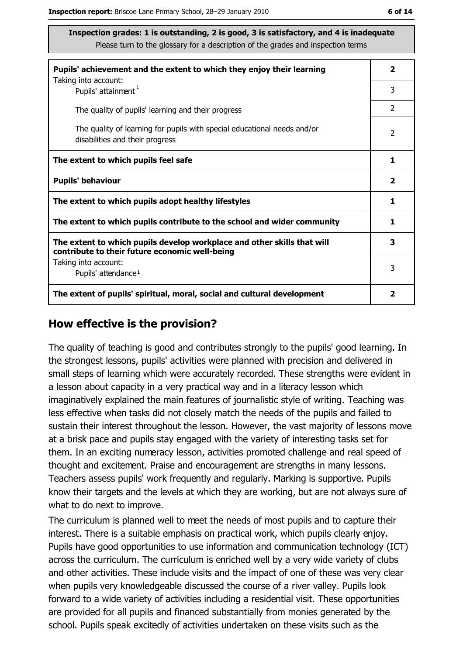| Pupils' achievement and the extent to which they enjoy their learning                                                     | $\overline{\mathbf{2}}$ |
|---------------------------------------------------------------------------------------------------------------------------|-------------------------|
| Taking into account:<br>Pupils' attainment <sup>1</sup>                                                                   | 3                       |
| The quality of pupils' learning and their progress                                                                        | $\overline{2}$          |
| The quality of learning for pupils with special educational needs and/or<br>disabilities and their progress               | $\overline{2}$          |
| The extent to which pupils feel safe                                                                                      | 1                       |
| <b>Pupils' behaviour</b>                                                                                                  | $\overline{\mathbf{2}}$ |
| The extent to which pupils adopt healthy lifestyles                                                                       | 1                       |
| The extent to which pupils contribute to the school and wider community                                                   | 1                       |
| The extent to which pupils develop workplace and other skills that will<br>contribute to their future economic well-being | 3                       |
| Taking into account:                                                                                                      | 3                       |
| Pupils' attendance <sup>1</sup>                                                                                           |                         |
| The extent of pupils' spiritual, moral, social and cultural development                                                   | 2                       |

#### How effective is the provision?

The quality of teaching is good and contributes strongly to the pupils' good learning. In the strongest lessons, pupils' activities were planned with precision and delivered in small steps of learning which were accurately recorded. These strengths were evident in a lesson about capacity in a very practical way and in a literacy lesson which imaginatively explained the main features of journalistic style of writing. Teaching was less effective when tasks did not closely match the needs of the pupils and failed to sustain their interest throughout the lesson. However, the vast majority of lessons move at a brisk pace and pupils stay engaged with the variety of interesting tasks set for them. In an exciting numeracy lesson, activities promoted challenge and real speed of thought and excitement. Praise and encouragement are strengths in many lessons. Teachers assess pupils' work frequently and regularly. Marking is supportive. Pupils know their targets and the levels at which they are working, but are not always sure of what to do next to improve.

The curriculum is planned well to meet the needs of most pupils and to capture their interest. There is a suitable emphasis on practical work, which pupils clearly enjoy. Pupils have good opportunities to use information and communication technology (ICT) across the curriculum. The curriculum is enriched well by a very wide variety of clubs and other activities. These include visits and the impact of one of these was very clear when pupils very knowledgeable discussed the course of a river valley. Pupils look forward to a wide variety of activities including a residential visit. These opportunities are provided for all pupils and financed substantially from monies generated by the school. Pupils speak excitedly of activities undertaken on these visits such as the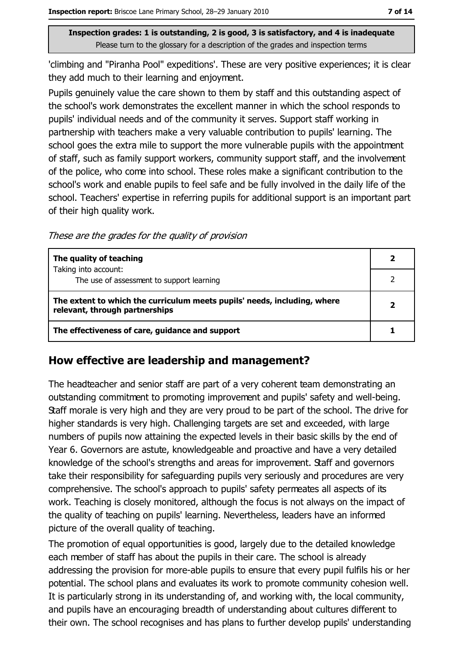'climbing and "Piranha Pool" expeditions'. These are very positive experiences; it is clear they add much to their learning and enjoyment.

Pupils genuinely value the care shown to them by staff and this outstanding aspect of the school's work demonstrates the excellent manner in which the school responds to pupils' individual needs and of the community it serves. Support staff working in partnership with teachers make a very valuable contribution to pupils' learning. The school goes the extra mile to support the more vulnerable pupils with the appointment of staff, such as family support workers, community support staff, and the involvement of the police, who come into school. These roles make a significant contribution to the school's work and enable pupils to feel safe and be fully involved in the daily life of the school. Teachers' expertise in referring pupils for additional support is an important part of their high quality work.

These are the grades for the quality of provision

| The quality of teaching                                                                                    |  |
|------------------------------------------------------------------------------------------------------------|--|
| Taking into account:<br>The use of assessment to support learning                                          |  |
| The extent to which the curriculum meets pupils' needs, including, where<br>relevant, through partnerships |  |
| The effectiveness of care, guidance and support                                                            |  |

#### How effective are leadership and management?

The headteacher and senior staff are part of a very coherent team demonstrating an outstanding commitment to promoting improvement and pupils' safety and well-being. Staff morale is very high and they are very proud to be part of the school. The drive for higher standards is very high. Challenging targets are set and exceeded, with large numbers of pupils now attaining the expected levels in their basic skills by the end of Year 6. Governors are astute, knowledgeable and proactive and have a very detailed knowledge of the school's strengths and areas for improvement. Staff and governors take their responsibility for safeguarding pupils very seriously and procedures are very comprehensive. The school's approach to pupils' safety permeates all aspects of its work. Teaching is closely monitored, although the focus is not always on the impact of the quality of teaching on pupils' learning. Nevertheless, leaders have an informed picture of the overall quality of teaching.

The promotion of equal opportunities is good, largely due to the detailed knowledge each member of staff has about the pupils in their care. The school is already addressing the provision for more-able pupils to ensure that every pupil fulfils his or her potential. The school plans and evaluates its work to promote community cohesion well. It is particularly strong in its understanding of, and working with, the local community, and pupils have an encouraging breadth of understanding about cultures different to their own. The school recognises and has plans to further develop pupils' understanding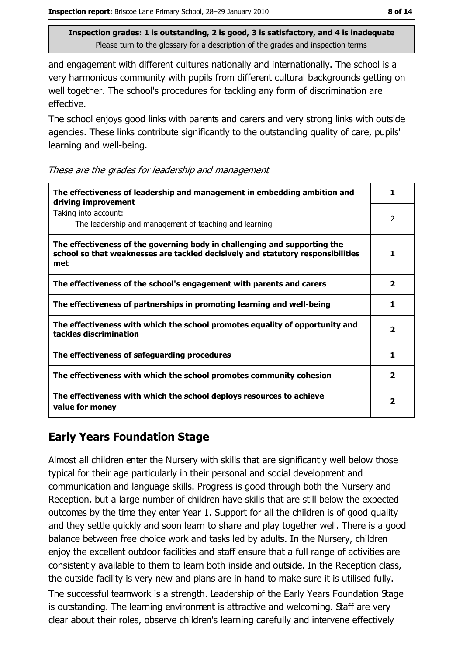and engagement with different cultures nationally and internationally. The school is a very harmonious community with pupils from different cultural backgrounds getting on well together. The school's procedures for tackling any form of discrimination are effective.

The school enjoys good links with parents and carers and very strong links with outside agencies. These links contribute significantly to the outstanding quality of care, pupils' learning and well-being.

|  |  | These are the grades for leadership and management |
|--|--|----------------------------------------------------|
|  |  |                                                    |
|  |  |                                                    |

| The effectiveness of leadership and management in embedding ambition and<br>driving improvement                                                                     | 1                       |
|---------------------------------------------------------------------------------------------------------------------------------------------------------------------|-------------------------|
| Taking into account:<br>The leadership and management of teaching and learning                                                                                      | 2                       |
| The effectiveness of the governing body in challenging and supporting the<br>school so that weaknesses are tackled decisively and statutory responsibilities<br>met | 1                       |
| The effectiveness of the school's engagement with parents and carers                                                                                                | $\overline{\mathbf{2}}$ |
| The effectiveness of partnerships in promoting learning and well-being                                                                                              | 1                       |
| The effectiveness with which the school promotes equality of opportunity and<br>tackles discrimination                                                              | $\overline{\mathbf{2}}$ |
| The effectiveness of safeguarding procedures                                                                                                                        | 1                       |
| The effectiveness with which the school promotes community cohesion                                                                                                 | $\overline{\mathbf{2}}$ |
| The effectiveness with which the school deploys resources to achieve<br>value for money                                                                             | 2                       |

### **Early Years Foundation Stage**

Almost all children enter the Nursery with skills that are significantly well below those typical for their age particularly in their personal and social development and communication and language skills. Progress is good through both the Nursery and Reception, but a large number of children have skills that are still below the expected outcomes by the time they enter Year 1. Support for all the children is of good quality and they settle quickly and soon learn to share and play together well. There is a good balance between free choice work and tasks led by adults. In the Nursery, children enjoy the excellent outdoor facilities and staff ensure that a full range of activities are consistently available to them to learn both inside and outside. In the Reception class, the outside facility is very new and plans are in hand to make sure it is utilised fully.

The successful teamwork is a strength. Leadership of the Early Years Foundation Stage is outstanding. The learning environment is attractive and welcoming. Staff are very clear about their roles, observe children's learning carefully and intervene effectively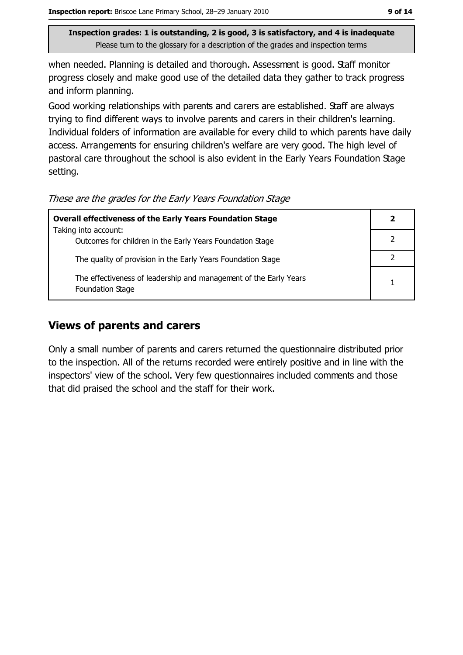when needed. Planning is detailed and thorough. Assessment is good. Staff monitor progress closely and make good use of the detailed data they gather to track progress and inform planning.

Good working relationships with parents and carers are established. Staff are always trying to find different ways to involve parents and carers in their children's learning. Individual folders of information are available for every child to which parents have daily access. Arrangements for ensuring children's welfare are very good. The high level of pastoral care throughout the school is also evident in the Early Years Foundation Stage setting.

These are the grades for the Early Years Foundation Stage

| <b>Overall effectiveness of the Early Years Foundation Stage</b>                      | $\mathbf{2}$ |
|---------------------------------------------------------------------------------------|--------------|
| Taking into account:                                                                  |              |
| Outcomes for children in the Early Years Foundation Stage                             |              |
| The quality of provision in the Early Years Foundation Stage                          |              |
| The effectiveness of leadership and management of the Early Years<br>Foundation Stage |              |

## **Views of parents and carers**

Only a small number of parents and carers returned the questionnaire distributed prior to the inspection. All of the returns recorded were entirely positive and in line with the inspectors' view of the school. Very few questionnaires included comments and those that did praised the school and the staff for their work.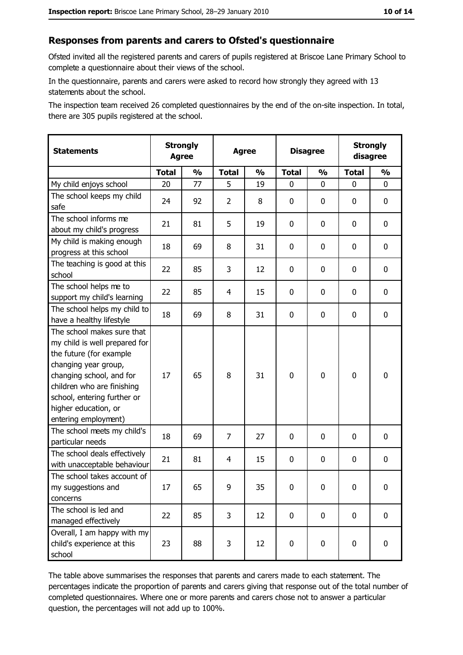#### Responses from parents and carers to Ofsted's questionnaire

Ofsted invited all the registered parents and carers of pupils registered at Briscoe Lane Primary School to complete a questionnaire about their views of the school.

In the questionnaire, parents and carers were asked to record how strongly they agreed with 13 statements about the school.

The inspection team received 26 completed questionnaires by the end of the on-site inspection. In total, there are 305 pupils registered at the school.

| <b>Statements</b>                                                                                                                                                                                                                                       | <b>Strongly</b><br><b>Agree</b> |               | <b>Agree</b> |               | <b>Disagree</b> |               | <b>Strongly</b><br>disagree |               |
|---------------------------------------------------------------------------------------------------------------------------------------------------------------------------------------------------------------------------------------------------------|---------------------------------|---------------|--------------|---------------|-----------------|---------------|-----------------------------|---------------|
|                                                                                                                                                                                                                                                         | <b>Total</b>                    | $\frac{1}{2}$ | <b>Total</b> | $\frac{0}{0}$ | <b>Total</b>    | $\frac{0}{0}$ | <b>Total</b>                | $\frac{1}{2}$ |
| My child enjoys school                                                                                                                                                                                                                                  | 20                              | 77            | 5            | 19            | 0               | 0             | 0                           | 0             |
| The school keeps my child<br>safe                                                                                                                                                                                                                       | 24                              | 92            | 2            | 8             | $\mathbf 0$     | 0             | 0                           | 0             |
| The school informs me<br>about my child's progress                                                                                                                                                                                                      | 21                              | 81            | 5            | 19            | $\mathbf 0$     | 0             | $\mathbf{0}$                | 0             |
| My child is making enough<br>progress at this school                                                                                                                                                                                                    | 18                              | 69            | 8            | 31            | $\mathbf 0$     | 0             | 0                           | 0             |
| The teaching is good at this<br>school                                                                                                                                                                                                                  | 22                              | 85            | 3            | 12            | $\mathbf 0$     | 0             | 0                           | 0             |
| The school helps me to<br>support my child's learning                                                                                                                                                                                                   | 22                              | 85            | 4            | 15            | $\mathbf 0$     | 0             | 0                           | 0             |
| The school helps my child to<br>have a healthy lifestyle                                                                                                                                                                                                | 18                              | 69            | 8            | 31            | $\mathbf 0$     | 0             | 0                           | 0             |
| The school makes sure that<br>my child is well prepared for<br>the future (for example<br>changing year group,<br>changing school, and for<br>children who are finishing<br>school, entering further or<br>higher education, or<br>entering employment) | 17                              | 65            | 8            | 31            | $\mathbf 0$     | 0             | $\mathbf 0$                 | 0             |
| The school meets my child's<br>particular needs                                                                                                                                                                                                         | 18                              | 69            | 7            | 27            | $\mathbf 0$     | 0             | 0                           | 0             |
| The school deals effectively<br>with unacceptable behaviour                                                                                                                                                                                             | 21                              | 81            | 4            | 15            | $\mathbf 0$     | 0             | 0                           | 0             |
| The school takes account of<br>my suggestions and<br>concerns                                                                                                                                                                                           | 17                              | 65            | 9            | 35            | $\mathbf 0$     | 0             | 0                           | 0             |
| The school is led and<br>managed effectively                                                                                                                                                                                                            | 22                              | 85            | 3            | 12            | $\mathbf 0$     | 0             | 0                           | $\mathbf 0$   |
| Overall, I am happy with my<br>child's experience at this<br>school                                                                                                                                                                                     | 23                              | 88            | 3            | 12            | $\mathbf 0$     | 0             | $\mathbf 0$                 | 0             |

The table above summarises the responses that parents and carers made to each statement. The percentages indicate the proportion of parents and carers giving that response out of the total number of completed questionnaires. Where one or more parents and carers chose not to answer a particular question, the percentages will not add up to 100%.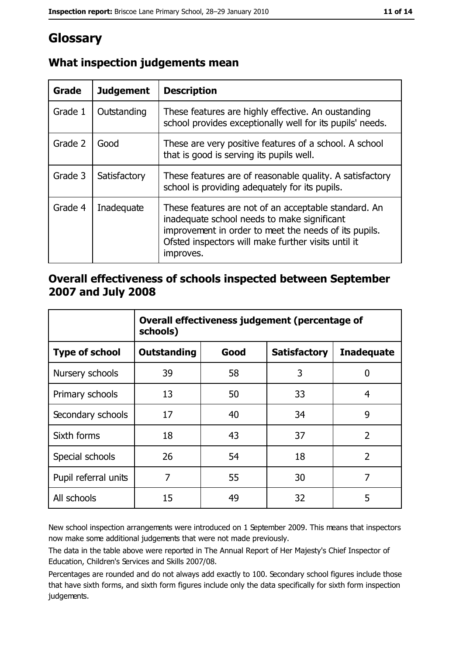# Glossary

| Grade   | <b>Judgement</b> | <b>Description</b>                                                                                                                                                                                                               |
|---------|------------------|----------------------------------------------------------------------------------------------------------------------------------------------------------------------------------------------------------------------------------|
| Grade 1 | Outstanding      | These features are highly effective. An oustanding<br>school provides exceptionally well for its pupils' needs.                                                                                                                  |
| Grade 2 | Good             | These are very positive features of a school. A school<br>that is good is serving its pupils well.                                                                                                                               |
| Grade 3 | Satisfactory     | These features are of reasonable quality. A satisfactory<br>school is providing adequately for its pupils.                                                                                                                       |
| Grade 4 | Inadequate       | These features are not of an acceptable standard. An<br>inadequate school needs to make significant<br>improvement in order to meet the needs of its pupils.<br>Ofsted inspectors will make further visits until it<br>improves. |

# What inspection judgements mean

## Overall effectiveness of schools inspected between September 2007 and July 2008

|                       | Overall effectiveness judgement (percentage of<br>schools) |      |                     |                   |
|-----------------------|------------------------------------------------------------|------|---------------------|-------------------|
| <b>Type of school</b> | Outstanding                                                | Good | <b>Satisfactory</b> | <b>Inadequate</b> |
| Nursery schools       | 39                                                         | 58   | 3                   | 0                 |
| Primary schools       | 13                                                         | 50   | 33                  | 4                 |
| Secondary schools     | 17                                                         | 40   | 34                  | 9                 |
| Sixth forms           | 18                                                         | 43   | 37                  | $\overline{2}$    |
| Special schools       | 26                                                         | 54   | 18                  | $\overline{2}$    |
| Pupil referral units  | 7                                                          | 55   | 30                  | 7                 |
| All schools           | 15                                                         | 49   | 32                  | 5                 |

New school inspection arrangements were introduced on 1 September 2009. This means that inspectors now make some additional judgements that were not made previously.

The data in the table above were reported in The Annual Report of Her Majesty's Chief Inspector of Education, Children's Services and Skills 2007/08.

Percentages are rounded and do not always add exactly to 100. Secondary school figures include those that have sixth forms, and sixth form figures include only the data specifically for sixth form inspection judgements.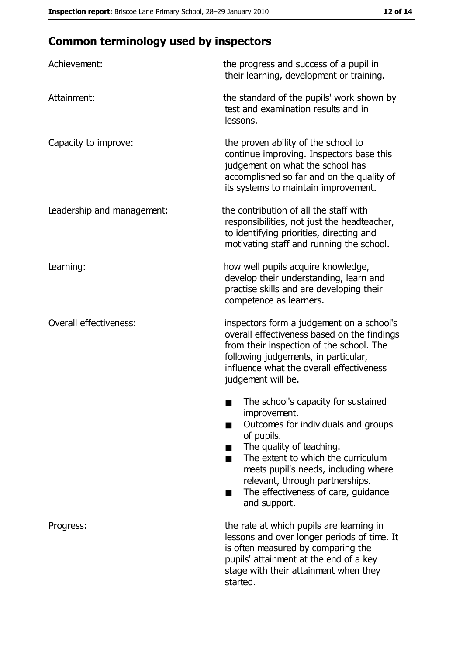# **Common terminology used by inspectors**

| Achievement:                  | the progress and success of a pupil in<br>their learning, development or training.                                                                                                                                                                                                                           |
|-------------------------------|--------------------------------------------------------------------------------------------------------------------------------------------------------------------------------------------------------------------------------------------------------------------------------------------------------------|
| Attainment:                   | the standard of the pupils' work shown by<br>test and examination results and in<br>lessons.                                                                                                                                                                                                                 |
| Capacity to improve:          | the proven ability of the school to<br>continue improving. Inspectors base this<br>judgement on what the school has<br>accomplished so far and on the quality of<br>its systems to maintain improvement.                                                                                                     |
| Leadership and management:    | the contribution of all the staff with<br>responsibilities, not just the headteacher,<br>to identifying priorities, directing and<br>motivating staff and running the school.                                                                                                                                |
| Learning:                     | how well pupils acquire knowledge,<br>develop their understanding, learn and<br>practise skills and are developing their<br>competence as learners.                                                                                                                                                          |
| <b>Overall effectiveness:</b> | inspectors form a judgement on a school's<br>overall effectiveness based on the findings<br>from their inspection of the school. The<br>following judgements, in particular,<br>influence what the overall effectiveness<br>judgement will be.                                                               |
|                               | The school's capacity for sustained<br>improvement.<br>Outcomes for individuals and groups<br>of pupils.<br>The quality of teaching.<br>The extent to which the curriculum<br>meets pupil's needs, including where<br>relevant, through partnerships.<br>The effectiveness of care, guidance<br>and support. |
| Progress:                     | the rate at which pupils are learning in<br>lessons and over longer periods of time. It<br>is often measured by comparing the<br>pupils' attainment at the end of a key<br>stage with their attainment when they<br>started.                                                                                 |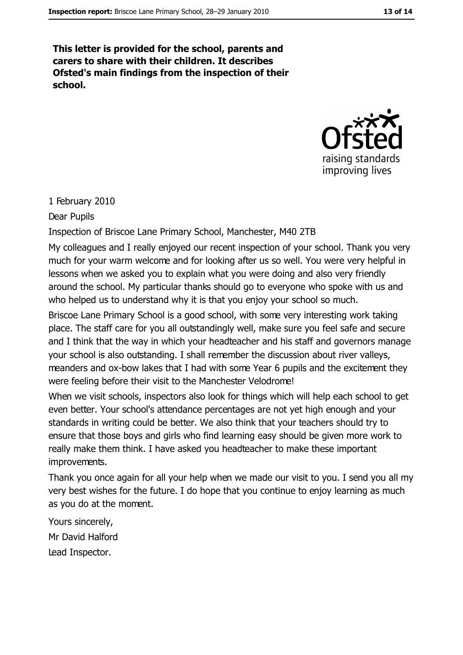This letter is provided for the school, parents and carers to share with their children. It describes Ofsted's main findings from the inspection of their school.



#### 1 February 2010

#### Dear Pupils

#### Inspection of Briscoe Lane Primary School, Manchester, M40 2TB

My colleagues and I really enjoyed our recent inspection of your school. Thank you very much for your warm welcome and for looking after us so well. You were very helpful in lessons when we asked you to explain what you were doing and also very friendly around the school. My particular thanks should go to everyone who spoke with us and who helped us to understand why it is that you enjoy your school so much.

Briscoe Lane Primary School is a good school, with some very interesting work taking place. The staff care for you all outstandingly well, make sure you feel safe and secure and I think that the way in which your headteacher and his staff and governors manage your school is also outstanding. I shall remember the discussion about river valleys, meanders and ox-bow lakes that I had with some Year 6 pupils and the excitement they were feeling before their visit to the Manchester Velodrome!

When we visit schools, inspectors also look for things which will help each school to get even better. Your school's attendance percentages are not yet high enough and your standards in writing could be better. We also think that your teachers should try to ensure that those boys and girls who find learning easy should be given more work to really make them think. I have asked you headteacher to make these important improvements.

Thank you once again for all your help when we made our visit to you. I send you all my very best wishes for the future. I do hope that you continue to enjoy learning as much as you do at the moment.

Yours sincerely, Mr David Halford Lead Inspector.